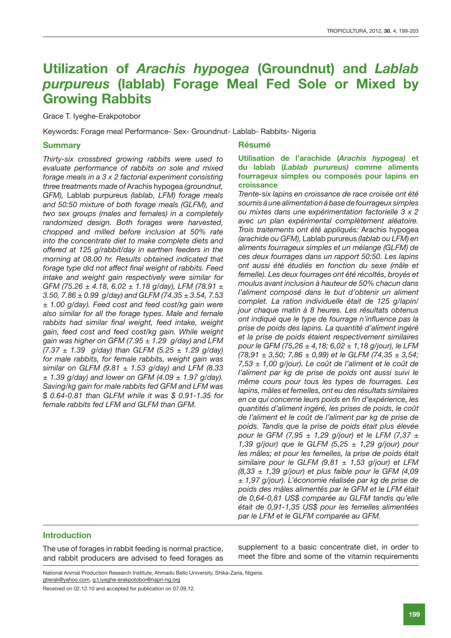# **Utilization of** *Arachis hypogea* **(Groundnut) and** *Lablab purpureus* **(lablab) Forage Meal Fed Sole or Mixed by Growing Rabbits**

Grace T. Iyeghe-Erakpotobor

Keywords: Forage meal Performance- Sex- Groundnut- Lablab- Rabbits- Nigeria

## **Summary**

*Thirty-six crossbred growing rabbits were used to evaluate performance of rabbits on sole and mixed forage meals in a 3 x 2 factorial experiment consisting three treatments made of* Arachis hypogea *(groundnut, GFM),* Lablab purpureus *(lablab, LFM) forage meals and 50:50 mixture of both forage meals (GLFM), and two sex groups (males and females) in a completely randomized design. Both forages were harvested, chopped and milled before inclusion at 50% rate into the concentrate diet to make complete diets and offered at 125 g/rabbit/day in earthen feeders in the morning at 08.00 hr. Results obtained indicated that forage type did not affect final weight of rabbits. Feed intake and weight gain respectively were similar for GFM (75.26 ± 4.18, 6.02 ± 1.18 g/day), LFM (78.91 ± 3.50, 7.86 ± 0.99 g/day) and GLFM (74.35 ± 3.54, 7.53 ± 1.00 g/day). Feed cost and feed cost/kg gain were also similar for all the forage types. Male and female rabbits had similar final weight, feed intake, weight gain, feed cost and feed cost/kg gain. While weight gain was higher on GFM (7.95 ± 1.29 g/day) and LFM (7.37 ± 1.39 g/day) than GLFM (5.25 ± 1.29 g/day) for male rabbits, for female rabbits, weight gain was similar on GLFM (9.81 ± 1.53 g/day) and LFM (8.33 ± 1.39 g/day) and lower on GFM (4.09 ± 1.97 g/day). Saving/kg gain for male rabbits fed GFM and LFM was \$ 0.64-0.81 than GLFM while it was \$ 0.91-1.35 for female rabbits fed LFM and GLFM than GFM.* 

#### **Résumé**

## **Utilisation de l'arachide (***Arachis hypogea)* **et du lablab (***Lablab purureus)* **comme aliments fourrageux simples ou composés pour lapins en croissance**

*Trente-six lapins en croissance de race croisée ont été soumis á une alimentation á base de fourrageux simples ou mixtes dans une expérimentation factorielle 3 x 2 avec un plan expérimental complètement aléatoire. Trois traitements ont été appliqués:* Arachis hypogea *(arachide ou GFM),* Lablab purureus *(lablab ou LFM) en aliments fourrageux simples et un mélange (GLFM) de ces deux fourrages dans un rapport 50:50. Les lapins ont aussi été étudiés en fonction du sexe (mâle et femelle). Les deux fourrages ont été récoltés, broyés et moulus avant inclusion à hauteur de 50% chacun dans l'aliment composé dans le but d'obtenir un aliment complet. La ration individuelle était de 125 g/lapin/ jour chaque matin à 8 heures. Les résultats obtenus ont indiqué que le type de fourrage n'influence pas la prise de poids des lapins. La quantité d'aliment ingéré et la prise de poids étaient respectivement similaires pour le GFM (75,26 ± 4,18; 6,02 ± 1,18 g/jour), le LFM (78,91 ± 3,50; 7,86 ± 0,99) et le GLFM (74,35 ± 3,54; 7,53 ± 1,00 g/jour). Le coût de l'aliment et le coût de l'aliment par kg de prise de poids ont aussi suivi le même cours pour tous les types de fourrages. Les lapins, mâles et femelles, ont eu des résultats similaires en ce qui concerne leurs poids en fin d'expérience, les quantités d'aliment ingéré, les prises de poids, le coût de l'aliment et le coût de l'aliment par kg de prise de poids. Tandis que la prise de poids était plus élevée pour le GFM (7,95 ± 1,29 g/jour) et le LFM (7,37 ± 1,39 g/jour) que le GLFM (5,25 ± 1,29 g/jour) pour les mâles; et pour les femelles, la prise de poids était similaire pour le GLFM (9,81 ± 1,53 g/jour) et LFM (8,33 ± 1,39 g/jour) et plus faible pour le GFM (4,09 ± 1,97 g/jour). L'économie réalisée par kg de prise de poids des mâles alimentés par le GFM et le LFM était de 0,64-0,81 US\$ comparée au GLFM tandis qu'elle était de 0,91-1,35 US\$ pour les femelles alimentées par le LFM et le GLFM comparée au GFM.*

## **Introduction**

The use of forages in rabbit feeding is normal practice, and rabbit producers are advised to feed forages as supplement to a basic concentrate diet, in order to meet the fibre and some of the vitamin requirements

National Animal Production Research Institute, Ahmadu Bello University, Shika-Zaria, Nigeria. gtierak@yahoo.com, g.t.iyeghe-erakpotobor@napri-ng.org

Received on 02.12.10 and accepted for publication on 07.09.12.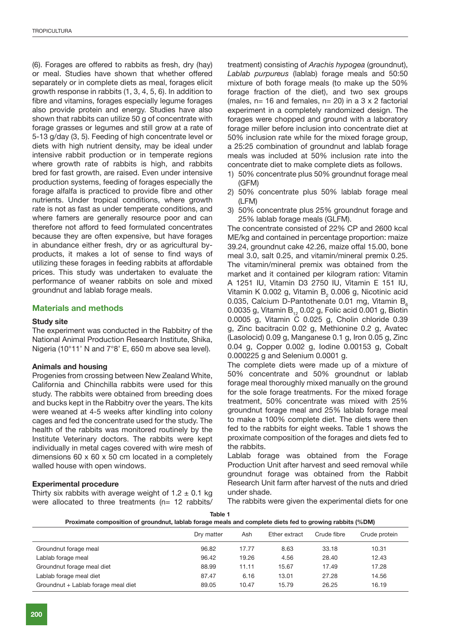(6). Forages are offered to rabbits as fresh, dry (hay) or meal. Studies have shown that whether offered separately or in complete diets as meal, forages elicit growth response in rabbits (1, 3, 4, 5, 6). In addition to fibre and vitamins, forages especially legume forages also provide protein and energy. Studies have also shown that rabbits can utilize 50 g of concentrate with forage grasses or legumes and still grow at a rate of 5-13 g/day (3, 5). Feeding of high concentrate level or diets with high nutrient density, may be ideal under intensive rabbit production or in temperate regions where growth rate of rabbits is high, and rabbits bred for fast growth, are raised. Even under intensive production systems, feeding of forages especially the forage alfalfa is practiced to provide fibre and other nutrients. Under tropical conditions, where growth rate is not as fast as under temperate conditions, and where famers are generally resource poor and can therefore not afford to feed formulated concentrates because they are often expensive, but have forages in abundance either fresh, dry or as agricultural byproducts, it makes a lot of sense to find ways of utilizing these forages in feeding rabbits at affordable prices. This study was undertaken to evaluate the performance of weaner rabbits on sole and mixed groundnut and lablab forage meals.

## **Materials and methods**

## **Study site**

The experiment was conducted in the Rabbitry of the National Animal Production Research Institute, Shika, Nigeria (10°11' N and 7°8' E, 650 m above sea level).

## **Animals and housing**

Progenies from crossing between New Zealand White, California and Chinchilla rabbits were used for this study. The rabbits were obtained from breeding does and bucks kept in the Rabbitry over the years. The kits were weaned at 4-5 weeks after kindling into colony cages and fed the concentrate used for the study. The health of the rabbits was monitored routinely by the Institute Veterinary doctors. The rabbits were kept individually in metal cages covered with wire mesh of dimensions 60 x 60 x 50 cm located in a completely walled house with open windows.

## **Experimental procedure**

Thirty six rabbits with average weight of  $1.2 \pm 0.1$  kg were allocated to three treatments (n= 12 rabbits/ treatment) consisting of *Arachis hypogea* (groundnut), *Lablab purpureus* (lablab) forage meals and 50:50 mixture of both forage meals (to make up the 50% forage fraction of the diet), and two sex groups (males,  $n=16$  and females,  $n=20$ ) in a 3 x 2 factorial experiment in a completely randomized design. The forages were chopped and ground with a laboratory forage miller before inclusion into concentrate diet at 50% inclusion rate while for the mixed forage group, a 25:25 combination of groundnut and lablab forage meals was included at 50% inclusion rate into the concentrate diet to make complete diets as follows.

- 1) 50% concentrate plus 50% groundnut forage meal (GFM)
- 2) 50% concentrate plus 50% lablab forage meal (LFM)
- 3) 50% concentrate plus 25% groundnut forage and 25% lablab forage meals (GLFM).

The concentrate consisted of 22% CP and 2600 kcal ME/kg and contained in percentage proportion: maize 39.24, groundnut cake 42.26, maize offal 15.00, bone meal 3.0, salt 0.25, and vitamin/mineral premix 0.25. The vitamin/mineral premix was obtained from the market and it contained per kilogram ration: Vitamin A 1251 IU, Vitamin D3 2750 IU, Vitamin E 151 IU, Vitamin K 0.002 g, Vitamin  $B_2$  0.006 g, Nicotinic acid 0.035, Calcium D-Pantothenate 0.01 mg, Vitamin  $B<sub>e</sub>$ 0.0035 g, Vitamin  $B_{12}$  0.02 g, Folic acid 0.001 g, Biotin 0.0005 g, Vitamin C 0.025 g, Cholin chloride 0.39 g, Zinc bacitracin 0.02 g, Methionine 0.2 g, Avatec (Lasolocid) 0.09 g, Manganese 0.1 g, Iron 0.05 g, Zinc 0.04 g, Copper 0.002 g, Iodine 0.00153 g, Cobalt 0.000225 g and Selenium 0.0001 g.

The complete diets were made up of a mixture of 50% concentrate and 50% groundnut or lablab forage meal thoroughly mixed manually on the ground for the sole forage treatments. For the mixed forage treatment, 50% concentrate was mixed with 25% groundnut forage meal and 25% lablab forage meal to make a 100% complete diet. The diets were then fed to the rabbits for eight weeks. Table 1 shows the proximate composition of the forages and diets fed to the rabbits.

Lablab forage was obtained from the Forage Production Unit after harvest and seed removal while groundnut forage was obtained from the Rabbit Research Unit farm after harvest of the nuts and dried under shade.

The rabbits were given the experimental diets for one

| Proximate composition of groundnut, lablab forage meals and complete diets fed to growing rabbits (%DM) |  |  |
|---------------------------------------------------------------------------------------------------------|--|--|
|                                                                                                         |  |  |

|                                     | Dry matter | Ash   | Ether extract | Crude fibre | Crude protein |
|-------------------------------------|------------|-------|---------------|-------------|---------------|
| Groundnut forage meal               | 96.82      | 17.77 | 8.63          | 33.18       | 10.31         |
| Lablab forage meal                  | 96.42      | 19.26 | 4.56          | 28.40       | 12.43         |
| Groundnut forage meal diet          | 88.99      | 11.11 | 15.67         | 17.49       | 17.28         |
| Lablab forage meal diet             | 87.47      | 6.16  | 13.01         | 27.28       | 14.56         |
| Groundnut + Lablab forage meal diet | 89.05      | 10.47 | 15.79         | 26.25       | 16.19         |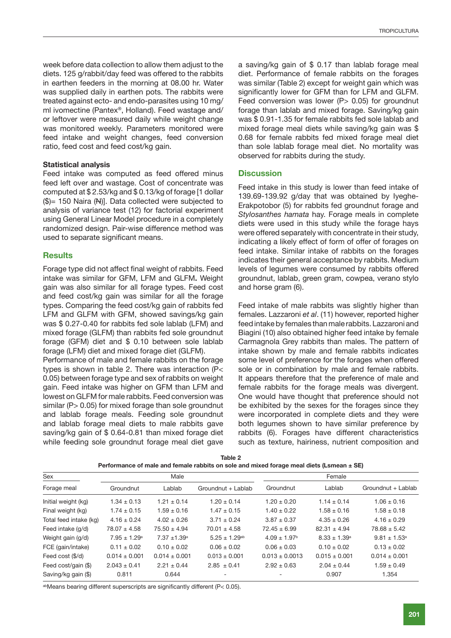week before data collection to allow them adjust to the diets. 125 g/rabbit/day feed was offered to the rabbits in earthen feeders in the morning at 08.00 hr. Water was supplied daily in earthen pots. The rabbits were treated against ecto- and endo-parasites using 10 mg/ ml ivomectine (Pantex®, Holland). Feed wastage and/ or leftover were measured daily while weight change was monitored weekly. Parameters monitored were feed intake and weight changes, feed conversion ratio, feed cost and feed cost/kg gain.

#### **Statistical analysis**

Feed intake was computed as feed offered minus feed left over and wastage. Cost of concentrate was computed at \$ 2.53/kg and \$ 0.13/kg of forage [1 dollar  $(\$)= 150$  Naira  $(\mathbb{N})$ . Data collected were subjected to analysis of variance test (12) for factorial experiment using General Linear Model procedure in a completely randomized design. Pair-wise difference method was used to separate significant means.

## **Results**

Forage type did not affect final weight of rabbits. Feed intake was similar for GFM, LFM and GLFM**.** Weight gain was also similar for all forage types. Feed cost and feed cost/kg gain was similar for all the forage types. Comparing the feed cost/kg gain of rabbits fed LFM and GLFM with GFM, showed savings/kg gain was \$ 0.27-0.40 for rabbits fed sole lablab (LFM) and mixed forage (GLFM) than rabbits fed sole groundnut forage (GFM) diet and \$ 0.10 between sole lablab forage (LFM) diet and mixed forage diet (GLFM).

Performance of male and female rabbits on the forage types is shown in table 2. There was interaction (P< 0.05) between forage type and sex of rabbits on weight gain. Feed intake was higher on GFM than LFM and lowest on GLFM for male rabbits. Feed conversion was similar (P > 0.05) for mixed forage than sole groundnut and lablab forage meals. Feeding sole groundnut and lablab forage meal diets to male rabbits gave saving/kg gain of \$ 0.64-0.81 than mixed forage diet while feeding sole groundnut forage meal diet gave a saving/kg gain of \$ 0.17 than lablab forage meal diet. Performance of female rabbits on the forages was similar (Table 2) except for weight gain which was significantly lower for GFM than for LFM and GLFM. Feed conversion was lower  $(P> 0.05)$  for groundnut forage than lablab and mixed forage. Saving/kg gain was \$ 0.91-1.35 for female rabbits fed sole lablab and mixed forage meal diets while saving/kg gain was \$ 0.68 for female rabbits fed mixed forage meal diet than sole lablab forage meal diet. No mortality was observed for rabbits during the study.

#### **Discussion**

Feed intake in this study is lower than feed intake of 139.69-139.92 g/day that was obtained by Iyeghe-Erakpotobor (5) for rabbits fed groundnut forage and *Stylosanthes hamata* hay. Forage meals in complete diets were used in this study while the forage hays were offered separately with concentrate in their study, indicating a likely effect of form of offer of forages on feed intake. Similar intake of rabbits on the forages indicates their general acceptance by rabbits. Medium levels of legumes were consumed by rabbits offered groundnut, lablab, green gram, cowpea, verano stylo and horse gram (6).

Feed intake of male rabbits was slightly higher than females. Lazzaroni *et al*. (11) however, reported higher feed intake by females than male rabbits. Lazzaroni and Biagini (10) also obtained higher feed intake by female Carmagnola Grey rabbits than males. The pattern of intake shown by male and female rabbits indicates some level of preference for the forages when offered sole or in combination by male and female rabbits. It appears therefore that the preference of male and female rabbits for the forage meals was divergent. One would have thought that preference should not be exhibited by the sexes for the forages since they were incorporated in complete diets and they were both legumes shown to have similar preference by rabbits (6). Forages have different characteristics such as texture, hairiness, nutrient composition and

| Sex<br>Male            |                   |                            | Female               |                         |                   |                    |
|------------------------|-------------------|----------------------------|----------------------|-------------------------|-------------------|--------------------|
| Forage meal            | Groundnut         | Lablab                     | Groundnut + Lablab   | Groundnut               | Lablab            | Groundnut + Lablab |
| Initial weight (kg)    | $1.34 \pm 0.13$   | $1.21 \pm 0.14$            | $1.20 \pm 0.14$      | $1.20 \pm 0.20$         | $1.14 \pm 0.14$   | $1.06 \pm 0.16$    |
| Final weight (kg)      | $1.74 \pm 0.15$   | $1.59 \pm 0.16$            | $1.47 \pm 0.15$      | $1.40 \pm 0.22$         | $1.58 \pm 0.16$   | $1.58 \pm 0.18$    |
| Total feed intake (kg) | $4.16 \pm 0.24$   | $4.02 \pm 0.26$            | $3.71 \pm 0.24$      | $3.87 \pm 0.37$         | $4.35 \pm 0.26$   | $4.16 \pm 0.29$    |
| Feed intake (q/d)      | $78.07 \pm 4.58$  | $75.50 \pm 4.94$           | $70.01 \pm 4.58$     | $72.45 \pm 6.99$        | $82.31 \pm 4.94$  | $78.68 \pm 5.42$   |
| Weight gain (g/d)      | $7.95 \pm 1.29^a$ | $7.37 + 1.39$ <sup>a</sup> | $5.25 \pm 1.29^{ab}$ | $4.09 \pm 1.97^{\circ}$ | $8.33 \pm 1.39^a$ | $9.81 \pm 1.53^a$  |
| FCE (gain/intake)      | $0.11 \pm 0.02$   | $0.10 \pm 0.02$            | $0.06 \pm 0.02$      | $0.06 \pm 0.03$         | $0.10 \pm 0.02$   | $0.13 \pm 0.02$    |
| Feed cost (\$/d)       | $0.014 \pm 0.001$ | $0.014 \pm 0.001$          | $0.013 \pm 0.001$    | $0.013 \pm 0.0013$      | $0.015 \pm 0.001$ | $0.014 \pm 0.001$  |
| Feed cost/gain (\$)    | $2.043 \pm 0.41$  | $2.21 \pm 0.44$            | $2.85 \pm 0.41$      | $2.92 \pm 0.63$         | $2.04 \pm 0.44$   | $1.59 \pm 0.49$    |
| Saving/kg gain (\$)    | 0.811             | 0.644                      |                      |                         | 0.907             | 1.354              |

| Table 2                                                                                      |
|----------------------------------------------------------------------------------------------|
| Performance of male and female rabbits on sole and mixed forage meal diets (Lsmean $\pm$ SE) |

abMeans bearing different superscripts are significantly different (P< 0.05).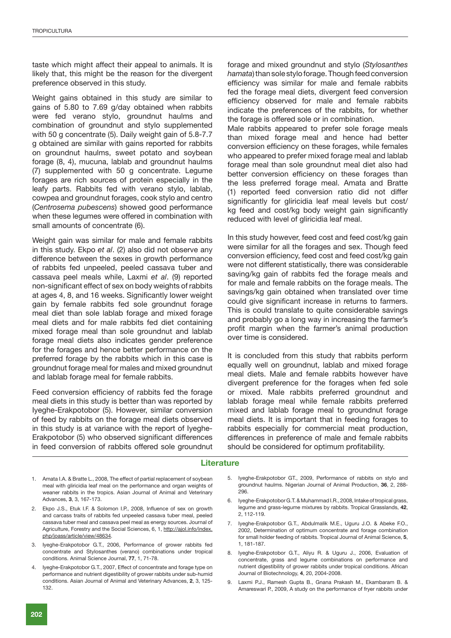taste which might affect their appeal to animals. It is likely that, this might be the reason for the divergent preference observed in this study.

Weight gains obtained in this study are similar to gains of 5.80 to 7.69 g/day obtained when rabbits were fed verano stylo, groundnut haulms and combination of groundnut and stylo supplemented with 50 g concentrate (5). Daily weight gain of 5.8-7.7 g obtained are similar with gains reported for rabbits on groundnut haulms, sweet potato and soybean forage (8, 4), mucuna, lablab and groundnut haulms (7) supplemented with 50 g concentrate. Legume forages are rich sources of protein especially in the leafy parts. Rabbits fed with verano stylo, lablab, cowpea and groundnut forages, cook stylo and centro (*Centrosema pubescens*) showed good performance when these legumes were offered in combination with small amounts of concentrate (6).

Weight gain was similar for male and female rabbits in this study. Ekpo *et al*. (2) also did not observe any difference between the sexes in growth performance of rabbits fed unpeeled, peeled cassava tuber and cassava peel meals while, Laxmi *et al*. (9) reported non-significant effect of sex on body weights of rabbits at ages 4, 8, and 16 weeks. Significantly lower weight gain by female rabbits fed sole groundnut forage meal diet than sole lablab forage and mixed forage meal diets and for male rabbits fed diet containing mixed forage meal than sole groundnut and lablab forage meal diets also indicates gender preference for the forages and hence better performance on the preferred forage by the rabbits which in this case is groundnut forage meal for males and mixed groundnut and lablab forage meal for female rabbits.

Feed conversion efficiency of rabbits fed the forage meal diets in this study is better than was reported by Iyeghe-Erakpotobor (5). However, similar conversion of feed by rabbits on the forage meal diets observed in this study is at variance with the report of Iyeghe-Erakpotobor (5) who observed significant differences in feed conversion of rabbits offered sole groundnut forage and mixed groundnut and stylo (*Stylosanthes hamata*) than sole stylo forage. Though feed conversion efficiency was similar for male and female rabbits fed the forage meal diets, divergent feed conversion efficiency observed for male and female rabbits indicate the preferences of the rabbits, for whether the forage is offered sole or in combination.

Male rabbits appeared to prefer sole forage meals than mixed forage meal and hence had better conversion efficiency on these forages, while females who appeared to prefer mixed forage meal and lablab forage meal than sole groundnut meal diet also had better conversion efficiency on these forages than the less preferred forage meal. Amata and Bratte (1) reported feed conversion ratio did not differ significantly for gliricidia leaf meal levels but cost/ kg feed and cost/kg body weight gain significantly reduced with level of gliricidia leaf meal.

In this study however, feed cost and feed cost/kg gain were similar for all the forages and sex. Though feed conversion efficiency, feed cost and feed cost/kg gain were not different statistically, there was considerable saving/kg gain of rabbits fed the forage meals and for male and female rabbits on the forage meals. The savings/kg gain obtained when translated over time could give significant increase in returns to farmers. This is could translate to quite considerable savings and probably go a long way in increasing the farmer's profit margin when the farmer's animal production over time is considered.

It is concluded from this study that rabbits perform equally well on groundnut, lablab and mixed forage meal diets. Male and female rabbits however have divergent preference for the forages when fed sole or mixed. Male rabbits preferred groundnut and lablab forage meal while female rabbits preferred mixed and lablab forage meal to groundnut forage meal diets. It is important that in feeding forages to rabbits especially for commercial meat production, differences in preference of male and female rabbits should be considered for optimum profitability.

#### **Literature**

- 1. Amata I.A. & Bratte L., 2008, The effect of partial replacement of soybean meal with gliricidia leaf meal on the performance and organ weights of weaner rabbits in the tropics. Asian Journal of Animal and Veterinary Advances, **3**, 3, 167-173.
- 2. Ekpo J.S., Etuk I.F. & Solomon I.P., 2008, Influence of sex on growth and carcass traits of rabbits fed unpeeled cassava tuber meal, peeled cassava tuber meal and cassava peel meal as energy sources. Journal of Agriculture, Forestry and the Social Sciences, 6, 1, http://ajol.info/index. php/joass/article/view/48634.
- 3. Iyeghe-Erakpotobor G.T., 2006, Performance of grower rabbits fed concentrate and Stylosanthes (verano) combinations under tropical conditions. Animal Science Journal, **77**, 1, 71-78.
- 4. Iyeghe-Erakpotobor G.T., 2007, Effect of concentrate and forage type on performance and nutrient digestibility of grower rabbits under sub-humid conditions. Asian Journal of Animal and Veterinary Advances, **2**, 3, 125- 132.
- Iyeghe-Erakpotobor GT., 2009, Performance of rabbits on stylo and groundnut haulms. Nigerian Journal of Animal Production, **36**, 2, 288- 296.
- 6. Iyeghe-Erakpotobor G.T. & Muhammad I.R., 2008, Intake of tropical grass, legume and grass-legume mixtures by rabbits. Tropical Grasslands, **42**, 2, 112-119.
- 7. Iyeghe-Erakpotobor G.T., Abdulmalik M.E., Uguru J.O. & Abeke F.O., 2002, Determination of optimum concentrate and forage combination for small holder feeding of rabbits. Tropical Journal of Animal Science, **5**, 1, 181-187.
- 8. Iyeghe-Erakpotobor G.T., Aliyu R. & Uguru J., 2006, Evaluation of concentrate, grass and legume combinations on performance and nutrient digestibility of grower rabbits under tropical conditions. African Journal of Biotechnology, **4**, 20, 2004-2008.
- 9. Laxmi P.J., Ramesh Gupta B., Gnana Prakash M., Ekambaram B. & Amareswari P., 2009, A study on the performance of fryer rabbits under